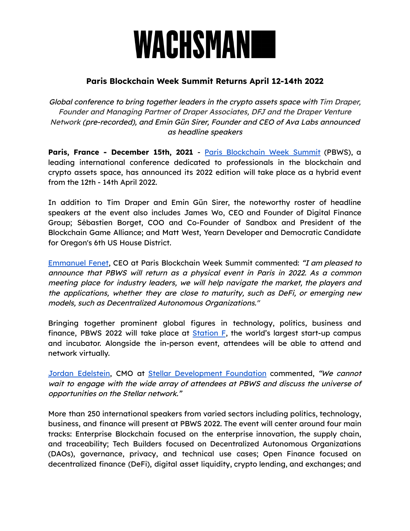# WACHSMANI

## **Paris Blockchain Week Summit Returns April 12-14th 2022**

Global conference to bring together leaders in the crypto assets space with Tim Draper, Founder and Managing Partner of Draper Associates, DFJ and the Draper Venture Network (pre-recorded), and Emin Gün Sirer, Founder and CEO of Ava Labs announced as headline speakers

**Paris, France - December 15th, 2021** - Paris [Blockchain](https://www.pbwsummit.com/) Week Summit (PBWS), a leading international conference dedicated to professionals in the blockchain and crypto assets space, has announced its 2022 edition will take place as a hybrid event from the 12th - 14th April 2022.

In addition to Tim Draper and Emin Gün Sirer, the noteworthy roster of headline speakers at the event also includes James Wo, CEO and Founder of Digital Finance Group; Sébastien Borget, COO and Co-Founder of Sandbox and President of the Blockchain Game Alliance; and Matt West, Yearn Developer and Democratic Candidate for Oregon's 6th US House District.

[Emmanuel](https://fr.linkedin.com/in/emmanuelfenet) Fenet, CEO at Paris Blockchain Week Summit commented: "I am pleased to announce that PBWS will return as <sup>a</sup> physical event in Paris in 2022. As <sup>a</sup> common meeting place for industry leaders, we will help navigate the market, the players and the applications, whether they are close to maturity, such as DeFi, or emerging new models, such as Decentralized Autonomous Organizations."

Bringing together prominent global figures in technology, politics, business and finance, PBWS 2022 will take place at **[Station](https://stationf.co/) F**, the world's largest start-up campus and incubator. Alongside the in-person event, attendees will be able to attend and network virtually.

Jordan [Edelstein](https://www.linkedin.com/in/jordan-edelstein-ok23), CMO at Stellar [Development](https://www.stellar.org/foundation?locale=en) Foundation commented, "We cannot wait to engage with the wide array of attendees at PBWS and discuss the universe of opportunities on the Stellar network."

More than 250 international speakers from varied sectors including politics, technology, business, and finance will present at PBWS 2022. The event will center around four main tracks: Enterprise Blockchain focused on the enterprise innovation, the supply chain, and traceability; Tech Builders focused on Decentralized Autonomous Organizations (DAOs), governance, privacy, and technical use cases; Open Finance focused on decentralized finance (DeFi), digital asset liquidity, crypto lending, and exchanges; and